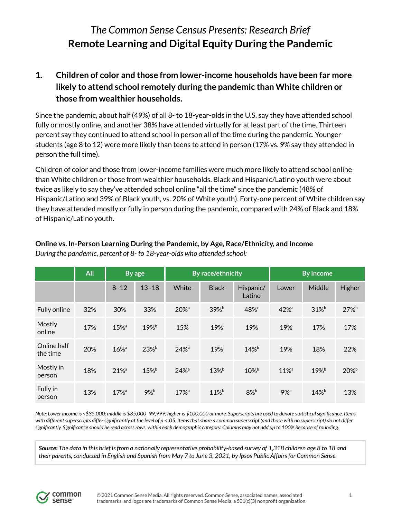# *The Common Sense Census Presents: Research Brief* **Remote Learning and Digital Equity During the Pandemic**

# **1. Children of color and those from lower-income households have been far more likely to attend school remotely during the pandemic than White children or those from wealthier households.**

Since the pandemic, about half (49%) of all 8- to 18-year-olds in the U.S. say they have attended school fully or mostly online, and another 38% have attended virtually for at least part of the time. Thirteen percent say they continued to attend school in person all of the time during the pandemic. Younger students (age 8 to 12) were more likely than teens to attend in person (17% vs. 9% say they attended in person the full time).

Children of color and those from lower-income families were much more likely to attend school online than White children or those from wealthier households. Black and Hispanic/Latino youth were about twice as likely to say they've attended school online "all the time" since the pandemic (48% of Hispanic/Latino and 39% of Black youth, vs. 20% of White youth). Forty-one percent of White children say they have attended mostly or fully in person during the pandemic, compared with 24% of Black and 18% of Hispanic/Latino youth.

|                         | All | By age              |           | <b>By race/ethnicity</b> |              |                     | <b>By income</b>    |                  |                     |
|-------------------------|-----|---------------------|-----------|--------------------------|--------------|---------------------|---------------------|------------------|---------------------|
|                         |     | $8 - 12$            | $13 - 18$ | White                    | <b>Black</b> | Hispanic/<br>Latino | Lower               | Middle           | Higher              |
| Fully online            | 32% | 30%                 | 33%       | $20\%$ <sup>a</sup>      | $39\%$       | 48% <sup>c</sup>    | $42%$ <sup>a</sup>  | $31\%$           | 27%                 |
| Mostly<br>online        | 17% | $15%$ <sup>a</sup>  | $19%^{b}$ | 15%                      | 19%          | 19%                 | 19%                 | 17%              | 17%                 |
| Online half<br>the time | 20% | $16\%$ <sup>a</sup> | $23%^b$   | $24%$ <sup>a</sup>       | 19%          | $14\%$ <sup>b</sup> | 19%                 | 18%              | 22%                 |
| Mostly in<br>person     | 18% | $21\%$ <sup>a</sup> | $15\%$    | $24%$ <sup>a</sup>       | $13\%$       | $10\%$              | $11\%$ <sup>a</sup> | 19% <sup>b</sup> | $20\%$ <sup>b</sup> |
| Fully in<br>person      | 13% | $17%$ <sup>a</sup>  | $9\%$     | $17%$ <sup>a</sup>       | $11\%$       | $8\%$ b             | $9%$ <sup>a</sup>   | $14%^{b}$        | 13%                 |

### **Online vs. In-Person Learning During the Pandemic, by Age, Race/Ethnicity, and Income** *During the pandemic, percent of 8- to 18-year-olds who attended school:*

Note: Lower income is <\$35,000; middle is \$35,000-99,999; higher is \$100,000 or more. Superscripts are used to denote statistical significance. Items with different superscripts differ significantly at the level of  $p < .05$ . Items that share a common superscript (and those with no superscript) do not differ significantly. Significance should be read across rows, within each demographic category. Columns may not add up to 100% because of rounding.

Source: The data in this brief is from a nationally representative probability-based survey of 1,318 children age 8 to 18 and their parents, conducted in English and Spanish from May 7 to June 3, 2021, by Ipsos Public Affairs for Common Sense.

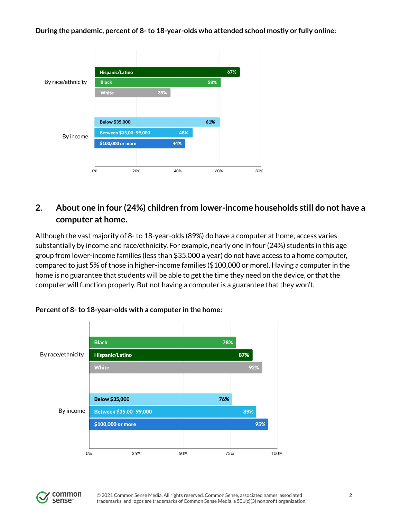**During the pandemic, percent of 8-to 18-year-olds who attended school mostly or fully online:**



# **2. About one in four (24%) children from lower-income households still do not have a computer at home.**

Although the vast majority of 8- to 18-year-olds (89%) do have a computer at home, access varies substantially by income and race/ethnicity. For example, nearly one in four (24%) students in this age group from lower-income families (less than \$35,000 a year) do not have access to a home computer, compared to just 5% of those in higher-income families (\$100,000 or more). Having a computer in the home is no guarantee that students will be able to get the time they need on the device, or that the computer will function properly. But not having a computer is a guarantee that they won't.



### **Percent of 8-to 18-year-olds with a computer in the home:**

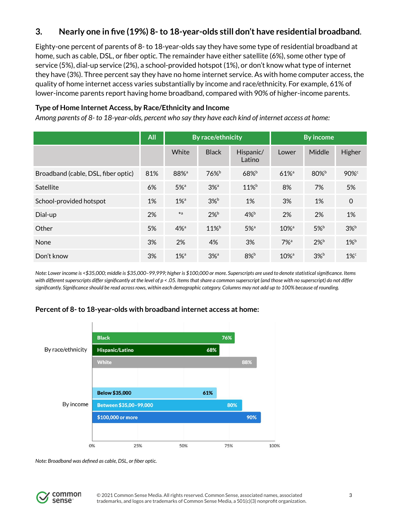### **3. Nearly one in five (19%) 8-to 18-year-olds still don't have residential broadband.**

Eighty-one percent of parents of 8- to 18-year-olds say they have some type of residential broadband at home, such as cable, DSL, or fiber optic. The remainder have either satellite (6%), some other type of service (5%), dial-up service (2%), a school-provided hotspot (1%), or don't know what type of internet they have (3%). Three percent say they have no home internet service. As with home computer access, the quality of home internet access varies substantially by income and race/ethnicity. For example, 61% of lower-income parents report having home broadband, compared with 90% of higher-income parents.

### **Type of Home Internet Access, by Race/Ethnicity and Income**

Among parents of 8-to 18-year-olds, percent who say they have each kind of internet access at home:

|                                     | All | By race/ethnicity  |                                     |                     | <b>By income</b>    |                    |                    |
|-------------------------------------|-----|--------------------|-------------------------------------|---------------------|---------------------|--------------------|--------------------|
|                                     |     | White              | <b>Black</b>                        | Hispanic/<br>Latino | Lower               | Middle             | Higher             |
| Broadband (cable, DSL, fiber optic) | 81% | 88% <sup>a</sup>   | $76\%$ <sup>b</sup>                 | 68% <sup>b</sup>    | 61% <sup>a</sup>    | $80\%$ b           | $90\%$             |
| Satellite                           | 6%  | $5\%$ <sup>a</sup> | $3%$ <sup><math>\alpha</math></sup> | 11% <sup>b</sup>    | 8%                  | 7%                 | 5%                 |
| School-provided hotspot             | 1%  | $1\%$ <sup>a</sup> | $3\%$ <sup>b</sup>                  | 1%                  | 3%                  | 1%                 | $\mathbf 0$        |
| Dial-up                             | 2%  | $*a$               | $2\%$ <sup>b</sup>                  | $4\%$ <sup>b</sup>  | 2%                  | 2%                 | 1%                 |
| Other                               | 5%  | $4%$ <sup>a</sup>  | $11\%$                              | $5%$ <sup>a</sup>   | $10\%$ <sup>a</sup> | $5\%$ <sup>b</sup> | $3\%$ <sup>b</sup> |
| None                                | 3%  | 2%                 | 4%                                  | 3%                  | $7\%$ <sup>a</sup>  | $2\%$              | $1\%$              |
| Don't know                          | 3%  | $1\%$ <sup>a</sup> | $3%$ <sup>a</sup>                   | $8\%$ b             | $10\%$ <sup>a</sup> | $3\%$              | $1\%$ <sup>c</sup> |

Note: Lower income is <\$35,000; middle is \$35,000-99,999; higher is \$100,000 or more. Superscripts are used to denote statistical significance. Items with different superscripts differ significantly at the level of p < .05. Items that share a common superscript (and those with no superscript) do not differ significantly. Significance should be read across rows, within each demographic category. Columns may not add up to 100% because of rounding.

### **Percent of 8-to 18-year-olds with broadband internet access at home:**



*Note: Broadband was defined as cable, DSL, or fiber optic.*

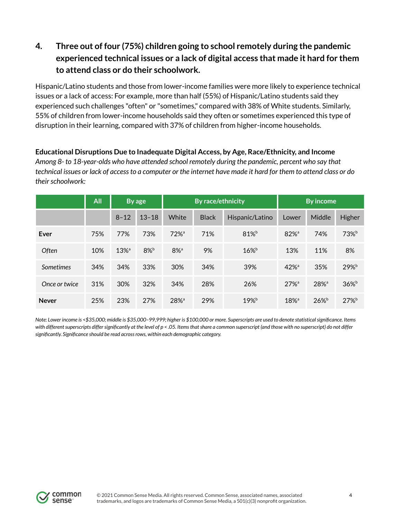# **4. Three out of four (75%) children going to school remotely during the pandemic experienced technical issues or a lack of digital access that made it hard for them to attend class or do their schoolwork.**

Hispanic/Latino students and those from lower-income families were more likely to experience technical issues or a lack of access: For example, more than half (55%) of Hispanic/Latino students said they experienced such challenges "often" or "sometimes," compared with 38% of White students. Similarly, 55% of children from lower-income households said they often or sometimes experienced this type of disruption in their learning, compared with 37% of children from higher-income households.

**Educational Disruptions Due to Inadequate Digital Access, by Age, Race/Ethnicity, and Income** *Among 8- to 18-year-olds who have attended school remotely during the pandemic, percent who say that* technical issues or lack of access to a computer or the internet have made it hard for them to attend class or do their schoolwork:

|               | All |                     | By age    |                    | By race/ethnicity |                 | <b>By income</b>    |                    |                  |
|---------------|-----|---------------------|-----------|--------------------|-------------------|-----------------|---------------------|--------------------|------------------|
|               |     | $8 - 12$            | $13 - 18$ | White              | <b>Black</b>      | Hispanic/Latino | Lower               | Middle             | Higher           |
| Ever          | 75% | 77%                 | 73%       | $72%$ <sup>a</sup> | 71%               | $81\%$          | $82\%$ <sup>a</sup> | 74%                | 73% <sup>b</sup> |
| Often         | 10% | $13\%$ <sup>a</sup> | $8\%$     | $8\%$ <sup>a</sup> | 9%                | $16\%$          | 13%                 | 11%                | 8%               |
| Sometimes     | 34% | 34%                 | 33%       | 30%                | 34%               | 39%             | $42%$ <sup>a</sup>  | 35%                | 29% <sup>b</sup> |
| Once or twice | 31% | 30%                 | 32%       | 34%                | 28%               | 26%             | $27%$ <sup>a</sup>  | $28%$ <sup>a</sup> | $36\%$           |
| <b>Never</b>  | 25% | 23%                 | 27%       | $28%$ <sup>a</sup> | 29%               | $19%^{b}$       | $18\%$ <sup>a</sup> | $26\%^{\rm b}$     | $27%^b$          |

Note: Lower income is <\$35,000; middle is \$35,000-99,999; higher is \$100,000 or more. Superscripts are used to denote statistical significance. Items with different superscripts differ significantly at the level of p < .05. Items that share a common superscript (and those with no superscript) do not differ *significantly. Significance should be read acrossrows, within each demographic category.*